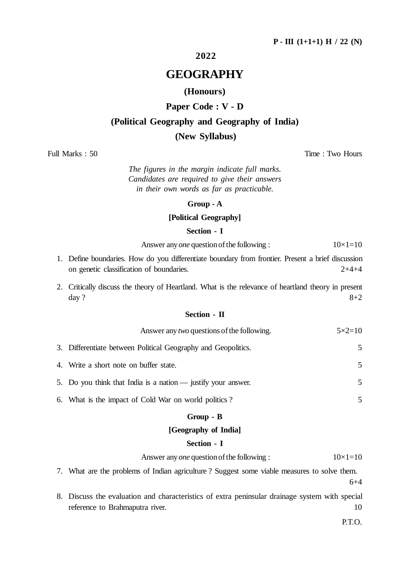## **2022**

## **GEOGRAPHY**

## **(Honours)**

## **Paper Code : V - D**

## **(Political Geography and Geography of India)**

### **(New Syllabus)**

Full Marks : 50 Time : Two Hours

*The figures in the margin indicate full marks. Candidates are required to give their answers in their own words as far as practicable.*

#### **Group - A**

## **[Political Geography]**

#### **Section - I**

Answer any *one* question of the following :  $10\times1=10$ 

- 1. Define boundaries. How do you differentiate boundary from frontier. Present a brief discussion on genetic classification of boundaries. 2+4+4
- 2. Critically discuss the theory of Heartland. What is the relevance of heartland theory in present day ?  $8+2$

#### **Section - II**

| Answer any <i>two</i> questions of the following.             | $5 \times 2 = 10$ |
|---------------------------------------------------------------|-------------------|
| 3. Differentiate between Political Geography and Geopolitics. | 5                 |
| 4. Write a short note on buffer state.                        | 5                 |
| 5. Do you think that India is a nation — justify your answer. | 5                 |
| $\epsilon$ in the state of $\alpha$ in the state of $\alpha$  |                   |

6. What is the impact of Cold War on world politics ? 5

## **Group - B**

#### **[Geography of India]**

#### **Section - I**

| Answer any <i>one</i> question of the following : | $10\times1=10$ |
|---------------------------------------------------|----------------|
|---------------------------------------------------|----------------|

- 7. What are the problems of Indian agriculture ? Suggest some viable measures to solve them. 6+4
- 8. Discuss the evaluation and characteristics of extra peninsular drainage system with special reference to Brahmaputra river. 10

P.T.O.